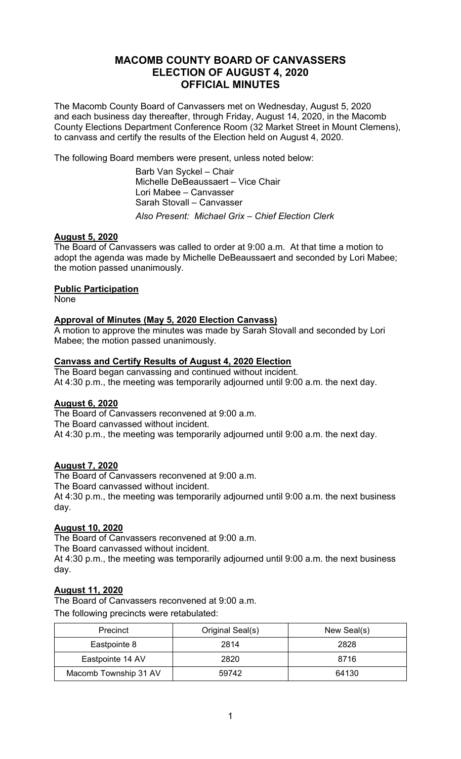## **MACOMB COUNTY BOARD OF CANVASSERS ELECTION OF AUGUST 4, 2020 OFFICIAL MINUTES**

The Macomb County Board of Canvassers met on Wednesday, August 5, 2020 and each business day thereafter, through Friday, August 14, 2020, in the Macomb County Elections Department Conference Room (32 Market Street in Mount Clemens), to canvass and certify the results of the Election held on August 4, 2020.

The following Board members were present, unless noted below:

 Barb Van Syckel – Chair Michelle DeBeaussaert – Vice Chair Lori Mabee – Canvasser Sarah Stovall – Canvasser *Also Present: Michael Grix – Chief Election Clerk* 

## **August 5, 2020**

The Board of Canvassers was called to order at 9:00 a.m. At that time a motion to adopt the agenda was made by Michelle DeBeaussaert and seconded by Lori Mabee; the motion passed unanimously.

## **Public Participation**

**None** 

## **Approval of Minutes (May 5, 2020 Election Canvass)**

A motion to approve the minutes was made by Sarah Stovall and seconded by Lori Mabee; the motion passed unanimously.

## **Canvass and Certify Results of August 4, 2020 Election**

The Board began canvassing and continued without incident. At 4:30 p.m., the meeting was temporarily adjourned until 9:00 a.m. the next day.

#### **August 6, 2020**

The Board of Canvassers reconvened at 9:00 a.m. The Board canvassed without incident. At 4:30 p.m., the meeting was temporarily adjourned until 9:00 a.m. the next day.

#### **August 7, 2020**

The Board of Canvassers reconvened at 9:00 a.m. The Board canvassed without incident. At 4:30 p.m., the meeting was temporarily adjourned until 9:00 a.m. the next business day.

#### **August 10, 2020**

The Board of Canvassers reconvened at 9:00 a.m. The Board canvassed without incident. At 4:30 p.m., the meeting was temporarily adjourned until 9:00 a.m. the next business day.

#### **August 11, 2020**

The Board of Canvassers reconvened at 9:00 a.m. The following precincts were retabulated:

| Precinct              | Original Seal(s) | New Seal(s) |
|-----------------------|------------------|-------------|
| Eastpointe 8          | 2814             | 2828        |
| Eastpointe 14 AV      | 2820             | 8716        |
| Macomb Township 31 AV | 59742            | 64130       |